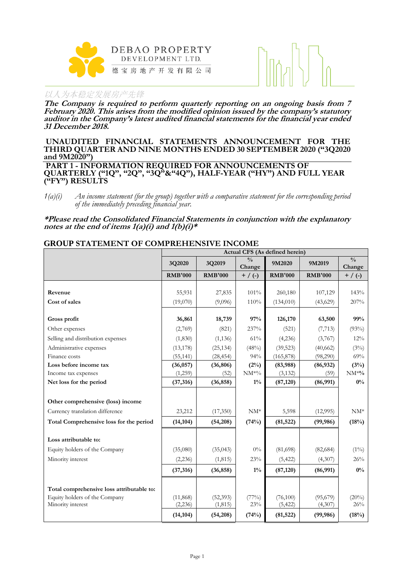



**The Company is required to perform quarterly reporting on an ongoing basis from 7 February 2020. This arises from the modified opinion issued by the company's statutory auditor in the Company's latest audited financial statements for the financial year ended 31 December 2018.**

#### **UNAUDITED FINANCIAL STATEMENTS ANNOUNCEMENT FOR THE THIRD QUARTER AND NINE MONTHS ENDED 30 SEPTEMBER 2020 ("3Q2020 and 9M2020") PART 1 - INFORMATION REQUIRED FOR ANNOUNCEMENTS OF QUARTERLY ("1Q", "2Q", "3Q"&"4Q"), HALF-YEAR ("HY") AND FULL YEAR ("FY") RESULTS**

**\*Please read the Consolidated Financial Statements in conjunction with the explanatory notes at the end of items 1(a)(i) and 1(b)(i)\***

#### **GROUP STATEMENT OF COMPREHENSIVE INCOME**

|                                           | Actual CFS (As defined herein) |                |                         |                |                |                         |  |
|-------------------------------------------|--------------------------------|----------------|-------------------------|----------------|----------------|-------------------------|--|
|                                           | 3Q2020                         | 3Q2019         | $\frac{0}{0}$<br>Change | 9M2020         | 9M2019         | $\frac{0}{0}$<br>Change |  |
|                                           | <b>RMB'000</b>                 | <b>RMB'000</b> | $+$ / (-)               | <b>RMB'000</b> | <b>RMB'000</b> | $+$ / (-)               |  |
|                                           |                                |                |                         |                |                |                         |  |
| Revenue                                   | 55,931                         | 27,835         | 101%                    | 260,180        | 107,129        | 143%                    |  |
| Cost of sales                             | (19,070)                       | (9,096)        | 110%                    | (134, 010)     | (43,629)       | 207%                    |  |
| Gross profit                              | 36,861                         | 18,739         | 97%                     | 126,170        | 63,500         | 99%                     |  |
| Other expenses                            | (2,769)                        | (821)          | 237%                    | (521)          | (7, 713)       | (93%)                   |  |
| Selling and distribution expenses         | (1,830)                        | (1, 136)       | 61%                     | (4,236)        | (3,767)        | 12%                     |  |
| Administrative expenses                   | (13, 178)                      | (25, 134)      | (48%)                   | (39, 523)      | (40,662)       | (3%)                    |  |
| Finance costs                             | (55, 141)                      | (28, 454)      | 94%                     | (165, 878)     | (98,290)       | 69%                     |  |
| Loss before income tax                    | (36, 057)                      | (36, 806)      | (2%)                    | (83,988)       | (86,932)       | (3%)                    |  |
| Income tax expenses                       | (1,259)                        | (52)           | $\rm NM^{*0}\!/_{\!0}$  | (3, 132)       | (59)           | $NM^{*0}\!/$            |  |
| Net loss for the period                   | (37, 316)                      | (36, 858)      | $1\%$                   | (87, 120)      | (86,991)       | $0\%$                   |  |
|                                           |                                |                |                         |                |                |                         |  |
| Other comprehensive (loss) income         |                                |                |                         |                |                |                         |  |
| Currency translation difference           | 23,212                         | (17,350)       | $NM^*$                  | 5,598          | (12,995)       | $NM^*$                  |  |
| Total Comprehensive loss for the period   | (14, 104)                      | (54,208)       | (74%)                   | (81, 522)      | (99, 986)      | (18%)                   |  |
| Loss attributable to:                     |                                |                |                         |                |                |                         |  |
| Equity holders of the Company             | (35,080)                       | (35, 043)      | $0\%$                   | (81,698)       | (82, 684)      | $(1\%)$                 |  |
| Minority interest                         | (2, 236)                       | (1, 815)       | 23%                     | (5, 422)       | (4,307)        | 26%                     |  |
|                                           | (37, 316)                      | (36, 858)      | $1\%$                   | (87, 120)      | (86,991)       | $0\%$                   |  |
|                                           |                                |                |                         |                |                |                         |  |
| Total comprehensive loss attributable to: |                                |                |                         |                |                |                         |  |
| Equity holders of the Company             | (11, 868)                      | (52, 393)      | (77%)                   | (76,100)       | (95,679)       | (20%)                   |  |
| Minority interest                         | (2, 236)                       | (1, 815)       | 23%                     | (5, 422)       | (4,307)        | 26%                     |  |
|                                           | (14, 104)                      | (54,208)       | (74%)                   | (81, 522)      | (99, 986)      | (18%)                   |  |

*<sup>1(</sup>a)(i) An income statement (for the group) together with a comparative statement for the corresponding period of the immediately preceding financial year.*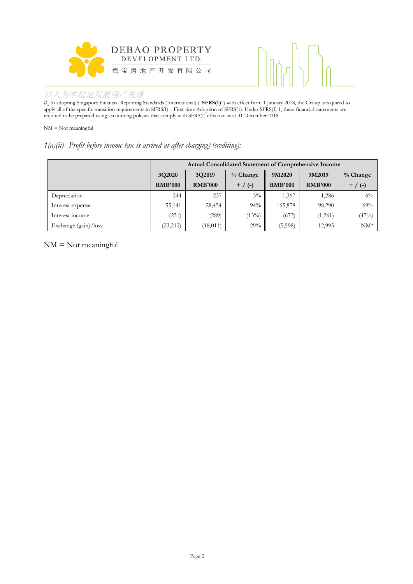



# In adopting Singapore Financial Reporting Standards (International) ("**SFRS(I)**") with effect from 1 January 2018, the Group is required to apply all of the specific transition requirements in SFRS(I) 1 First-time Adoption of SFRS(1). Under SFRS(I) 1, these financial statements are required to be prepared using accounting policies that comply with SFRS(I) effective as at 31 December 2018

NM = Not meaningful

#### *1(a)(ii) Profit before income tax is arrived at after charging/(crediting):*

|                      | <b>Actual Consolidated Statement of Comprehensive Income</b> |                |            |                |                |            |  |
|----------------------|--------------------------------------------------------------|----------------|------------|----------------|----------------|------------|--|
|                      | 3Q2020                                                       | 3Q2019         | $%$ Change | 9M2020         | 9M2019         | $%$ Change |  |
|                      | <b>RMB'000</b>                                               | <b>RMB'000</b> | $+$ / (-)  | <b>RMB'000</b> | <b>RMB'000</b> | $+$ / (-)  |  |
| Depreciation         | 244                                                          | 237            | $3\%$      | 1,367          | 1,286          | $6\%$      |  |
| Interest expense     | 55,141                                                       | 28,454         | 94%        | 165,878        | 98,290         | 69%        |  |
| Interest income      | (251)                                                        | (289)          | (13%)      | (673)          | (1,261)        | (47%)      |  |
| Exchange (gain)/loss | (23, 212)                                                    | (18, 011)      | 29%        | (5,598)        | 12,995         | $NM^*$     |  |

NM = Not meaningful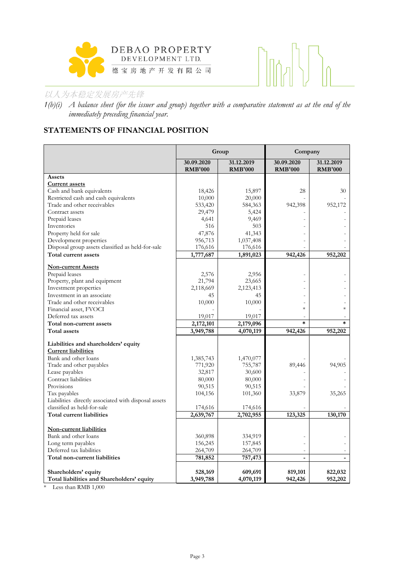



*1(b)(i) A balance sheet (for the issuer and group) together with a comparative statement as at the end of the immediately preceding financial year.*

# **STATEMENTS OF FINANCIAL POSITION**

|                                                      |                              | Group                        | Company                      |                              |
|------------------------------------------------------|------------------------------|------------------------------|------------------------------|------------------------------|
|                                                      | 30.09.2020<br><b>RMB'000</b> | 31.12.2019<br><b>RMB'000</b> | 30.09.2020<br><b>RMB'000</b> | 31.12.2019<br><b>RMB'000</b> |
| Assets                                               |                              |                              |                              |                              |
| <b>Current assets</b>                                |                              |                              |                              |                              |
| Cash and bank equivalents                            | 18,426                       | 15,897                       | 28                           | 30                           |
| Restricted cash and cash equivalents                 | 10,000                       | 20,000                       |                              |                              |
| Trade and other receivables                          | 533,420                      | 584,363                      | 942,398                      | 952,172                      |
| Contract assets                                      | 29,479                       | 5,424                        |                              |                              |
| Prepaid leases                                       | 4,641                        | 9,469                        |                              |                              |
| Inventories                                          | 516                          | 503                          |                              |                              |
| Property held for sale                               | 47,876                       | 41,343                       |                              |                              |
| Development properties                               | 956,713                      | 1,037,408                    |                              |                              |
| Disposal group assets classified as held-for-sale    | 176,616                      | 176,616                      |                              |                              |
| Total current assets                                 | 1,777,687                    | 1,891,023                    | 942,426                      | 952,202                      |
| <b>Non-current Assets</b>                            |                              |                              |                              |                              |
| Prepaid leases                                       | 2,576                        | 2,956                        |                              |                              |
| Property, plant and equipment                        | 21,794                       | 23,665                       |                              |                              |
| Investment properties                                | 2,118,669                    | 2,123,413                    |                              |                              |
| Investment in an associate                           | 45                           | 45                           |                              |                              |
| Trade and other receivables                          | 10,000                       | 10,000                       |                              |                              |
| Financial asset, FVOCI                               |                              |                              | $\ast$                       | $\ast$                       |
| Deferred tax assets                                  | 19,017                       | 19,017                       |                              |                              |
| Total non-current assets                             | 2,172,101                    | 2,179,096                    | $\ast$                       | $\ast$                       |
| <b>Total assets</b>                                  | 3,949,788                    | 4,070,119                    | 942,426                      | 952,202                      |
| Liabilities and shareholders' equity                 |                              |                              |                              |                              |
| <b>Current liabilities</b>                           |                              |                              |                              |                              |
| Bank and other loans                                 | 1,385,743                    | 1,470,077                    |                              |                              |
| Trade and other payables                             | 771,920                      | 755,787                      | 89,446                       | 94,905                       |
| Lease payables                                       | 32,817                       | 30,600                       |                              |                              |
| Contract liabilities                                 | 80,000                       | 80,000                       |                              |                              |
| Provisions                                           | 90,515                       | 90,515                       |                              |                              |
| Tax payables                                         | 104,156                      | 101,360                      | 33,879                       | 35,265                       |
| Liabilities directly associated with disposal assets |                              |                              |                              |                              |
| classified as held-for-sale                          | 174,616                      | 174,616                      |                              |                              |
| Total current liabilities                            | 2,639,767                    | 2,702,955                    | 123,325                      | 130,170                      |
|                                                      |                              |                              |                              |                              |
| Non-current liabilities                              |                              |                              |                              |                              |
| Bank and other loans                                 | 360,898                      | 334,919                      |                              |                              |
| Long term payables                                   | 156,245                      | 157,845                      |                              |                              |
| Deferred tax liabilities                             | 264,709                      | 264,709                      |                              |                              |
| Total non-current liabilities                        | 781,852                      | 757,473                      |                              |                              |
| Shareholders' equity                                 | 528,169                      | 609,691                      | 819,101                      | 822,032                      |
| Total liabilities and Shareholders' equity           | 3,949,788                    | 4,070,119                    | 942,426                      | 952,202                      |

\* Less than RMB 1,000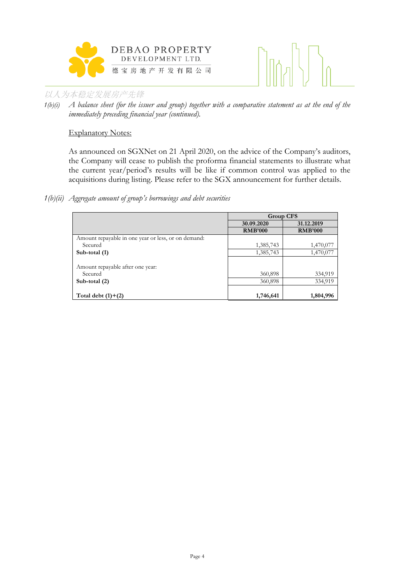



*1(b)(i) A balance sheet (for the issuer and group) together with a comparative statement as at the end of the immediately preceding financial year (continued).*

#### Explanatory Notes:

As announced on SGXNet on 21 April 2020, on the advice of the Company's auditors, the Company will cease to publish the proforma financial statements to illustrate what the current year/period's results will be like if common control was applied to the acquisitions during listing. Please refer to the SGX announcement for further details.

#### *1(b)(ii) Aggregate amount of group's borrowings and debt securities*

|                                                     | <b>Group CFS</b> |                |  |
|-----------------------------------------------------|------------------|----------------|--|
|                                                     | 30.09.2020       | 31.12.2019     |  |
|                                                     | <b>RMB'000</b>   | <b>RMB'000</b> |  |
| Amount repayable in one year or less, or on demand: |                  |                |  |
| Secured                                             | 1,385,743        | 1,470,077      |  |
| Sub-total (1)                                       | 1,385,743        | 1,470,077      |  |
|                                                     |                  |                |  |
| Amount repayable after one year:                    |                  |                |  |
| Secured                                             | 360,898          | 334,919        |  |
| Sub-total $(2)$                                     | 360,898          | 334,919        |  |
|                                                     |                  |                |  |
| Total debt $(1)+(2)$                                | 1,746,641        | 1,804,996      |  |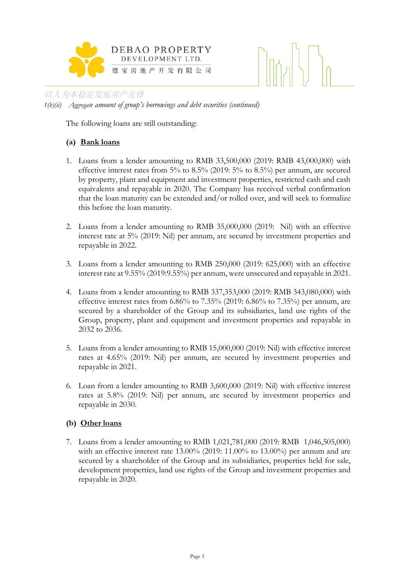

## 以人为本稳定发展房产先锋 *1(b)(ii) Aggregate amount of group's borrowings and debt securities (continued)*

The following loans are still outstanding:

# **(a) Bank loans**

- 1. Loans from a lender amounting to RMB 33,500,000 (2019: RMB 43,000,000) with effective interest rates from 5% to 8.5% (2019: 5% to 8.5%) per annum, are secured by property, plant and equipment and investment properties, restricted cash and cash equivalents and repayable in 2020. The Company has received verbal confirmation that the loan maturity can be extended and/or rolled over, and will seek to formalize this before the loan maturity.
- 2. Loans from a lender amounting to RMB 35,000,000 (2019: Nil) with an effective interest rate at 5% (2019: Nil) per annum, are secured by investment properties and repayable in 2022.
- 3. Loans from a lender amounting to RMB 250,000 (2019: 625,000) with an effective interest rate at 9.55% (2019:9.55%) per annum, were unsecured and repayable in 2021.
- 4. Loans from a lender amounting to RMB 337,353,000 (2019: RMB 343,080,000) with effective interest rates from  $6.86\%$  to  $7.35\%$  (2019:  $6.86\%$  to  $7.35\%$ ) per annum, are secured by a shareholder of the Group and its subsidiaries, land use rights of the Group, property, plant and equipment and investment properties and repayable in 2032 to 2036.
- 5. Loans from a lender amounting to RMB 15,000,000 (2019: Nil) with effective interest rates at 4.65% (2019: Nil) per annum, are secured by investment properties and repayable in 2021.
- 6. Loan from a lender amounting to RMB 3,600,000 (2019: Nil) with effective interest rates at 5.8% (2019: Nil) per annum, are secured by investment properties and repayable in 2030.

# **(b) Other loans**

7. Loans from a lender amounting to RMB 1,021,781,000 (2019: RMB 1,046,505,000) with an effective interest rate 13.00% (2019: 11.00% to 13.00%) per annum and are secured by a shareholder of the Group and its subsidiaries, properties held for sale, development properties, land use rights of the Group and investment properties and repayable in 2020.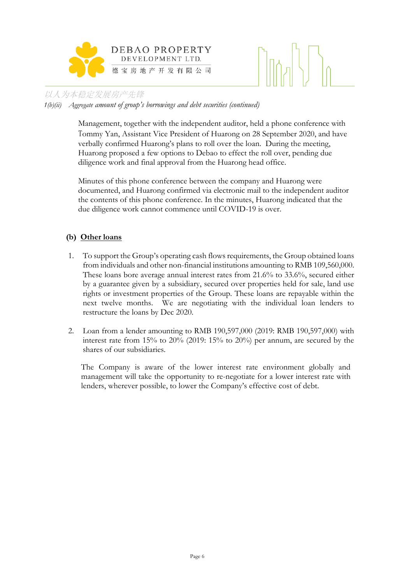

*1(b)(ii) Aggregate amount of group's borrowings and debt securities (continued)*

Management, together with the independent auditor, held a phone conference with Tommy Yan, Assistant Vice President of Huarong on 28 September 2020, and have verbally confirmed Huarong's plans to roll over the loan. During the meeting, Huarong proposed a few options to Debao to effect the roll over, pending due diligence work and final approval from the Huarong head office.

Minutes of this phone conference between the company and Huarong were documented, and Huarong confirmed via electronic mail to the independent auditor the contents of this phone conference. In the minutes, Huarong indicated that the due diligence work cannot commence until COVID-19 is over.

### **(b) Other loans**

- 1. To support the Group's operating cash flows requirements, the Group obtained loans from individuals and other non-financial institutions amounting to RMB 109,560,000. These loans bore average annual interest rates from 21.6% to 33.6%, secured either by a guarantee given by a subsidiary, secured over properties held for sale, land use rights or investment properties of the Group. These loans are repayable within the next twelve months. We are negotiating with the individual loan lenders to restructure the loans by Dec 2020.
- 2. Loan from a lender amounting to RMB 190,597,000 (2019: RMB 190,597,000) with interest rate from 15% to 20% (2019: 15% to 20%) per annum, are secured by the shares of our subsidiaries.

The Company is aware of the lower interest rate environment globally and management will take the opportunity to re-negotiate for a lower interest rate with lenders, wherever possible, to lower the Company's effective cost of debt.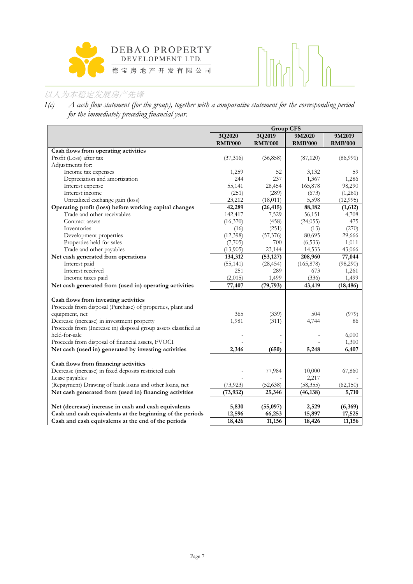



*1(c) A cash flow statement (for the group), together with a comparative statement for the corresponding period for the immediately preceding financial year.*

| 3Q2020<br>3Q2019<br>9M2020<br>9M2019<br><b>RMB'000</b><br><b>RMB'000</b><br><b>RMB'000</b><br><b>RMB'000</b><br>Cash flows from operating activities<br>(36, 858)<br>(86,991)<br>Profit (Loss) after tax<br>(37, 316)<br>(87, 120)<br>Adjustments for:<br>Income tax expenses<br>1,259<br>52<br>3,132<br>59<br>Depreciation and amortization<br>244<br>237<br>1,286<br>1,367<br>28,454<br>165,878<br>98,290<br>Interest expense<br>55,141<br>Interest income<br>(251)<br>(289)<br>(1,261)<br>(673)<br>Unrealized exchange gain (loss)<br>(18, 011)<br>5,598<br>(12,995)<br>23,212<br>Operating profit (loss) before working capital changes<br>42,289<br>(26, 415)<br>88,182<br>(1,612)<br>Trade and other receivables<br>142,417<br>7,529<br>56,151<br>4,708<br>Contract assets<br>(458)<br>475<br>(16,370)<br>(24, 055)<br>Inventories<br>(251)<br>(270)<br>(16)<br>(13)<br>Development properties<br>80,695<br>(12,398)<br>(57,376)<br>29,666<br>Properties held for sales<br>(7,705)<br>700<br>(6, 533)<br>1,011<br>Trade and other payables<br>(13,905)<br>23,144<br>14,533<br>43,066<br>208,960<br>Net cash generated from operations<br>(53, 127)<br>77,044<br>134,312<br>Interest paid<br>(165, 878)<br>(98,290)<br>(55, 141)<br>(28, 454)<br>Interest received<br>251<br>289<br>673<br>1,261<br>Income taxes paid<br>(2,015)<br>1,499<br>(336)<br>1,499<br>77,407<br>Net cash generated from (used in) operating activities<br>(79, 793)<br>43,419<br>(18, 486)<br>Cash flows from investing activities<br>Proceeds from disposal (Purchase) of properties, plant and<br>365<br>(339)<br>equipment, net<br>504<br>(979)<br>Decrease (increase) in investment property<br>1,981<br>4,744<br>(311)<br>86 |                                                                 | <b>Group CFS</b> |  |  |  |
|-----------------------------------------------------------------------------------------------------------------------------------------------------------------------------------------------------------------------------------------------------------------------------------------------------------------------------------------------------------------------------------------------------------------------------------------------------------------------------------------------------------------------------------------------------------------------------------------------------------------------------------------------------------------------------------------------------------------------------------------------------------------------------------------------------------------------------------------------------------------------------------------------------------------------------------------------------------------------------------------------------------------------------------------------------------------------------------------------------------------------------------------------------------------------------------------------------------------------------------------------------------------------------------------------------------------------------------------------------------------------------------------------------------------------------------------------------------------------------------------------------------------------------------------------------------------------------------------------------------------------------------------------------------------------------------------------------------------|-----------------------------------------------------------------|------------------|--|--|--|
|                                                                                                                                                                                                                                                                                                                                                                                                                                                                                                                                                                                                                                                                                                                                                                                                                                                                                                                                                                                                                                                                                                                                                                                                                                                                                                                                                                                                                                                                                                                                                                                                                                                                                                                 |                                                                 |                  |  |  |  |
|                                                                                                                                                                                                                                                                                                                                                                                                                                                                                                                                                                                                                                                                                                                                                                                                                                                                                                                                                                                                                                                                                                                                                                                                                                                                                                                                                                                                                                                                                                                                                                                                                                                                                                                 |                                                                 |                  |  |  |  |
|                                                                                                                                                                                                                                                                                                                                                                                                                                                                                                                                                                                                                                                                                                                                                                                                                                                                                                                                                                                                                                                                                                                                                                                                                                                                                                                                                                                                                                                                                                                                                                                                                                                                                                                 |                                                                 |                  |  |  |  |
|                                                                                                                                                                                                                                                                                                                                                                                                                                                                                                                                                                                                                                                                                                                                                                                                                                                                                                                                                                                                                                                                                                                                                                                                                                                                                                                                                                                                                                                                                                                                                                                                                                                                                                                 |                                                                 |                  |  |  |  |
|                                                                                                                                                                                                                                                                                                                                                                                                                                                                                                                                                                                                                                                                                                                                                                                                                                                                                                                                                                                                                                                                                                                                                                                                                                                                                                                                                                                                                                                                                                                                                                                                                                                                                                                 |                                                                 |                  |  |  |  |
|                                                                                                                                                                                                                                                                                                                                                                                                                                                                                                                                                                                                                                                                                                                                                                                                                                                                                                                                                                                                                                                                                                                                                                                                                                                                                                                                                                                                                                                                                                                                                                                                                                                                                                                 |                                                                 |                  |  |  |  |
|                                                                                                                                                                                                                                                                                                                                                                                                                                                                                                                                                                                                                                                                                                                                                                                                                                                                                                                                                                                                                                                                                                                                                                                                                                                                                                                                                                                                                                                                                                                                                                                                                                                                                                                 |                                                                 |                  |  |  |  |
|                                                                                                                                                                                                                                                                                                                                                                                                                                                                                                                                                                                                                                                                                                                                                                                                                                                                                                                                                                                                                                                                                                                                                                                                                                                                                                                                                                                                                                                                                                                                                                                                                                                                                                                 |                                                                 |                  |  |  |  |
|                                                                                                                                                                                                                                                                                                                                                                                                                                                                                                                                                                                                                                                                                                                                                                                                                                                                                                                                                                                                                                                                                                                                                                                                                                                                                                                                                                                                                                                                                                                                                                                                                                                                                                                 |                                                                 |                  |  |  |  |
|                                                                                                                                                                                                                                                                                                                                                                                                                                                                                                                                                                                                                                                                                                                                                                                                                                                                                                                                                                                                                                                                                                                                                                                                                                                                                                                                                                                                                                                                                                                                                                                                                                                                                                                 |                                                                 |                  |  |  |  |
|                                                                                                                                                                                                                                                                                                                                                                                                                                                                                                                                                                                                                                                                                                                                                                                                                                                                                                                                                                                                                                                                                                                                                                                                                                                                                                                                                                                                                                                                                                                                                                                                                                                                                                                 |                                                                 |                  |  |  |  |
|                                                                                                                                                                                                                                                                                                                                                                                                                                                                                                                                                                                                                                                                                                                                                                                                                                                                                                                                                                                                                                                                                                                                                                                                                                                                                                                                                                                                                                                                                                                                                                                                                                                                                                                 |                                                                 |                  |  |  |  |
|                                                                                                                                                                                                                                                                                                                                                                                                                                                                                                                                                                                                                                                                                                                                                                                                                                                                                                                                                                                                                                                                                                                                                                                                                                                                                                                                                                                                                                                                                                                                                                                                                                                                                                                 |                                                                 |                  |  |  |  |
|                                                                                                                                                                                                                                                                                                                                                                                                                                                                                                                                                                                                                                                                                                                                                                                                                                                                                                                                                                                                                                                                                                                                                                                                                                                                                                                                                                                                                                                                                                                                                                                                                                                                                                                 |                                                                 |                  |  |  |  |
|                                                                                                                                                                                                                                                                                                                                                                                                                                                                                                                                                                                                                                                                                                                                                                                                                                                                                                                                                                                                                                                                                                                                                                                                                                                                                                                                                                                                                                                                                                                                                                                                                                                                                                                 |                                                                 |                  |  |  |  |
|                                                                                                                                                                                                                                                                                                                                                                                                                                                                                                                                                                                                                                                                                                                                                                                                                                                                                                                                                                                                                                                                                                                                                                                                                                                                                                                                                                                                                                                                                                                                                                                                                                                                                                                 |                                                                 |                  |  |  |  |
|                                                                                                                                                                                                                                                                                                                                                                                                                                                                                                                                                                                                                                                                                                                                                                                                                                                                                                                                                                                                                                                                                                                                                                                                                                                                                                                                                                                                                                                                                                                                                                                                                                                                                                                 |                                                                 |                  |  |  |  |
|                                                                                                                                                                                                                                                                                                                                                                                                                                                                                                                                                                                                                                                                                                                                                                                                                                                                                                                                                                                                                                                                                                                                                                                                                                                                                                                                                                                                                                                                                                                                                                                                                                                                                                                 |                                                                 |                  |  |  |  |
|                                                                                                                                                                                                                                                                                                                                                                                                                                                                                                                                                                                                                                                                                                                                                                                                                                                                                                                                                                                                                                                                                                                                                                                                                                                                                                                                                                                                                                                                                                                                                                                                                                                                                                                 |                                                                 |                  |  |  |  |
|                                                                                                                                                                                                                                                                                                                                                                                                                                                                                                                                                                                                                                                                                                                                                                                                                                                                                                                                                                                                                                                                                                                                                                                                                                                                                                                                                                                                                                                                                                                                                                                                                                                                                                                 |                                                                 |                  |  |  |  |
|                                                                                                                                                                                                                                                                                                                                                                                                                                                                                                                                                                                                                                                                                                                                                                                                                                                                                                                                                                                                                                                                                                                                                                                                                                                                                                                                                                                                                                                                                                                                                                                                                                                                                                                 |                                                                 |                  |  |  |  |
|                                                                                                                                                                                                                                                                                                                                                                                                                                                                                                                                                                                                                                                                                                                                                                                                                                                                                                                                                                                                                                                                                                                                                                                                                                                                                                                                                                                                                                                                                                                                                                                                                                                                                                                 |                                                                 |                  |  |  |  |
|                                                                                                                                                                                                                                                                                                                                                                                                                                                                                                                                                                                                                                                                                                                                                                                                                                                                                                                                                                                                                                                                                                                                                                                                                                                                                                                                                                                                                                                                                                                                                                                                                                                                                                                 |                                                                 |                  |  |  |  |
|                                                                                                                                                                                                                                                                                                                                                                                                                                                                                                                                                                                                                                                                                                                                                                                                                                                                                                                                                                                                                                                                                                                                                                                                                                                                                                                                                                                                                                                                                                                                                                                                                                                                                                                 |                                                                 |                  |  |  |  |
|                                                                                                                                                                                                                                                                                                                                                                                                                                                                                                                                                                                                                                                                                                                                                                                                                                                                                                                                                                                                                                                                                                                                                                                                                                                                                                                                                                                                                                                                                                                                                                                                                                                                                                                 |                                                                 |                  |  |  |  |
|                                                                                                                                                                                                                                                                                                                                                                                                                                                                                                                                                                                                                                                                                                                                                                                                                                                                                                                                                                                                                                                                                                                                                                                                                                                                                                                                                                                                                                                                                                                                                                                                                                                                                                                 |                                                                 |                  |  |  |  |
|                                                                                                                                                                                                                                                                                                                                                                                                                                                                                                                                                                                                                                                                                                                                                                                                                                                                                                                                                                                                                                                                                                                                                                                                                                                                                                                                                                                                                                                                                                                                                                                                                                                                                                                 | Proceeds from (Increase in) disposal group assets classified as |                  |  |  |  |
| held-for-sale<br>6,000                                                                                                                                                                                                                                                                                                                                                                                                                                                                                                                                                                                                                                                                                                                                                                                                                                                                                                                                                                                                                                                                                                                                                                                                                                                                                                                                                                                                                                                                                                                                                                                                                                                                                          |                                                                 |                  |  |  |  |
| Proceeds from disposal of financial assets, FVOCI<br>1,300                                                                                                                                                                                                                                                                                                                                                                                                                                                                                                                                                                                                                                                                                                                                                                                                                                                                                                                                                                                                                                                                                                                                                                                                                                                                                                                                                                                                                                                                                                                                                                                                                                                      |                                                                 |                  |  |  |  |
| Net cash (used in) generated by investing activities<br>2,346<br>(650)<br>5,248<br>6,407                                                                                                                                                                                                                                                                                                                                                                                                                                                                                                                                                                                                                                                                                                                                                                                                                                                                                                                                                                                                                                                                                                                                                                                                                                                                                                                                                                                                                                                                                                                                                                                                                        |                                                                 |                  |  |  |  |
|                                                                                                                                                                                                                                                                                                                                                                                                                                                                                                                                                                                                                                                                                                                                                                                                                                                                                                                                                                                                                                                                                                                                                                                                                                                                                                                                                                                                                                                                                                                                                                                                                                                                                                                 |                                                                 |                  |  |  |  |
| Cash flows from financing activities                                                                                                                                                                                                                                                                                                                                                                                                                                                                                                                                                                                                                                                                                                                                                                                                                                                                                                                                                                                                                                                                                                                                                                                                                                                                                                                                                                                                                                                                                                                                                                                                                                                                            |                                                                 |                  |  |  |  |
| Decrease (increase) in fixed deposits restricted cash<br>77,984<br>10,000<br>67,860                                                                                                                                                                                                                                                                                                                                                                                                                                                                                                                                                                                                                                                                                                                                                                                                                                                                                                                                                                                                                                                                                                                                                                                                                                                                                                                                                                                                                                                                                                                                                                                                                             |                                                                 |                  |  |  |  |
| Lease payables<br>2,217                                                                                                                                                                                                                                                                                                                                                                                                                                                                                                                                                                                                                                                                                                                                                                                                                                                                                                                                                                                                                                                                                                                                                                                                                                                                                                                                                                                                                                                                                                                                                                                                                                                                                         |                                                                 |                  |  |  |  |
| (Repayment) Drawing of bank loans and other loans, net<br>(73, 923)<br>(52, 638)<br>(58, 355)<br>(62, 150)                                                                                                                                                                                                                                                                                                                                                                                                                                                                                                                                                                                                                                                                                                                                                                                                                                                                                                                                                                                                                                                                                                                                                                                                                                                                                                                                                                                                                                                                                                                                                                                                      |                                                                 |                  |  |  |  |
| Net cash generated from (used in) financing activities<br>(73, 932)<br>25,346<br>(46, 138)<br>5,710                                                                                                                                                                                                                                                                                                                                                                                                                                                                                                                                                                                                                                                                                                                                                                                                                                                                                                                                                                                                                                                                                                                                                                                                                                                                                                                                                                                                                                                                                                                                                                                                             |                                                                 |                  |  |  |  |
|                                                                                                                                                                                                                                                                                                                                                                                                                                                                                                                                                                                                                                                                                                                                                                                                                                                                                                                                                                                                                                                                                                                                                                                                                                                                                                                                                                                                                                                                                                                                                                                                                                                                                                                 |                                                                 |                  |  |  |  |
| Net (decrease) increase in cash and cash equivalents<br>5,830<br>(55,097)<br>2,529<br>(6,369)                                                                                                                                                                                                                                                                                                                                                                                                                                                                                                                                                                                                                                                                                                                                                                                                                                                                                                                                                                                                                                                                                                                                                                                                                                                                                                                                                                                                                                                                                                                                                                                                                   |                                                                 |                  |  |  |  |
| Cash and cash equivalents at the beginning of the periods<br>12,596<br>66,253<br>17,525<br>15,897                                                                                                                                                                                                                                                                                                                                                                                                                                                                                                                                                                                                                                                                                                                                                                                                                                                                                                                                                                                                                                                                                                                                                                                                                                                                                                                                                                                                                                                                                                                                                                                                               |                                                                 |                  |  |  |  |
| Cash and cash equivalents at the end of the periods<br>11,156<br>11,156<br>18,426<br>18,426                                                                                                                                                                                                                                                                                                                                                                                                                                                                                                                                                                                                                                                                                                                                                                                                                                                                                                                                                                                                                                                                                                                                                                                                                                                                                                                                                                                                                                                                                                                                                                                                                     |                                                                 |                  |  |  |  |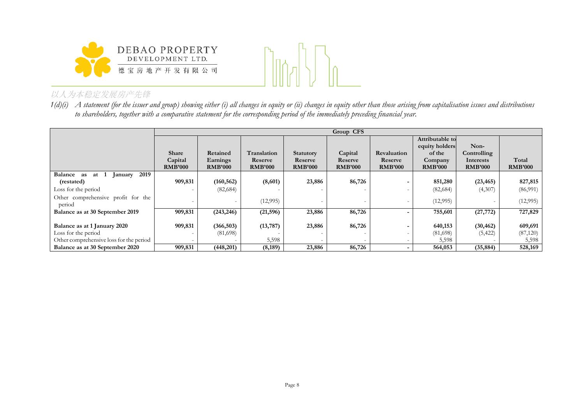



*1(d)(i) A statement (for the issuer and group) showing either (i) all changes in equity or (ii) changes in equity other than those arising from capitalisation issues and distributions to shareholders, together with a comparative statement for the corresponding period of the immediately preceding financial year.*

|                                                               |                                    | Group CFS                              |                                          |                                        |                                      |                                          |                                                                          |                                                    |                         |  |
|---------------------------------------------------------------|------------------------------------|----------------------------------------|------------------------------------------|----------------------------------------|--------------------------------------|------------------------------------------|--------------------------------------------------------------------------|----------------------------------------------------|-------------------------|--|
|                                                               | Share<br>Capital<br><b>RMB'000</b> | Retained<br>Earnings<br><b>RMB'000</b> | Translation<br>Reserve<br><b>RMB'000</b> | Statutory<br>Reserve<br><b>RMB'000</b> | Capital<br>Reserve<br><b>RMB'000</b> | Revaluation<br>Reserve<br><b>RMB'000</b> | Attributable to<br>equity holders<br>of the<br>Company<br><b>RMB'000</b> | Non-<br>Controlling<br>Interests<br><b>RMB'000</b> | Total<br><b>RMB'000</b> |  |
| 2019<br><b>Balance</b><br>$\mathbf{1}$<br>as<br>January<br>at |                                    |                                        |                                          |                                        |                                      |                                          |                                                                          |                                                    |                         |  |
| (restated)                                                    | 909,831                            | (160, 562)                             | (8,601)                                  | 23,886                                 | 86,726                               | -                                        | 851,280                                                                  | (23, 465)                                          | 827,815                 |  |
| Loss for the period                                           |                                    | (82, 684)                              |                                          |                                        |                                      |                                          | (82, 684)                                                                | (4,307)                                            | (86,991)                |  |
| Other comprehensive profit for the<br>period                  |                                    |                                        | (12,995)                                 |                                        |                                      |                                          | (12, 995)                                                                |                                                    | (12,995)                |  |
| Balance as at 30 September 2019                               | 909,831                            | (243, 246)                             | (21, 596)                                | 23,886                                 | 86,726                               | $\overline{\phantom{0}}$                 | 755,601                                                                  | (27, 772)                                          | 727,829                 |  |
| Balance as at 1 January 2020                                  | 909,831                            | (366, 503)                             | (13, 787)                                | 23,886                                 | 86,726                               |                                          | 640,153                                                                  | (30, 462)                                          | 609,691                 |  |
|                                                               |                                    |                                        |                                          |                                        |                                      | -                                        |                                                                          |                                                    |                         |  |
| Loss for the period                                           |                                    | (81,698)                               |                                          |                                        |                                      |                                          | (81,698)                                                                 | (5, 422)                                           | (87,120)                |  |
| Other comprehensive loss for the period                       |                                    |                                        | 5,598                                    |                                        |                                      |                                          | 5,598                                                                    |                                                    | 5,598                   |  |
| Balance as at 30 September 2020                               | 909,831                            | (448, 201)                             | (8, 189)                                 | 23,886                                 | 86,726                               | $\overline{\phantom{0}}$                 | 564,053                                                                  | (35, 884)                                          | 528,169                 |  |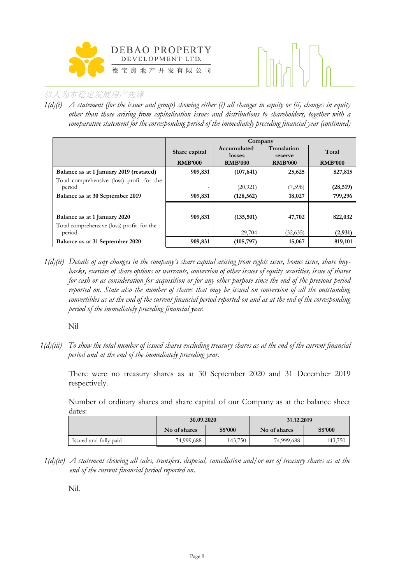



*1(d)(i) A statement (for the issuer and group) showing either (i) all changes in equity or (ii) changes in equity other than those arising from capitalisation issues and distributions to shareholders, together with a comparative statement for the corresponding period of the immediately preceding financial year (continued)*

|                                           | Company                  |                          |                           |                |  |  |
|-------------------------------------------|--------------------------|--------------------------|---------------------------|----------------|--|--|
|                                           | Share capital            | Accumulated              | Translation               | Total          |  |  |
|                                           | <b>RMB'000</b>           | losses<br><b>RMB'000</b> | reserve<br><b>RMB'000</b> | <b>RMB'000</b> |  |  |
|                                           |                          |                          |                           |                |  |  |
| Balance as at 1 January 2019 (restated)   | 909,831                  | (107, 641)               | 25,625                    | 827,815        |  |  |
| Total comprehensive (loss) profit for the |                          |                          |                           |                |  |  |
| period                                    | $\overline{\phantom{0}}$ | (20, 921)                | (7,598)                   | (28, 519)      |  |  |
| Balance as at 30 September 2019           | 909,831                  | (128, 562)               | 18,027                    | 799,296        |  |  |
|                                           |                          |                          |                           |                |  |  |
| Balance as at 1 January 2020              | 909,831                  | (135,501)                | 47,702                    | 822,032        |  |  |
| Total comprehensive (loss) profit for the |                          |                          |                           |                |  |  |
| period                                    | $\overline{\phantom{0}}$ | 29,704                   | (32,635)                  | (2,931)        |  |  |
| Balance as at 31 September 2020           | 909,831                  | (105, 797)               | 15,067                    | 819,101        |  |  |

*1(d)(ii) Details of any changes in the company's share capital arising from rights issue, bonus issue, share buybacks, exercise of share options or warrants, conversion of other issues of equity securities, issue of shares for cash or as consideration for acquisition or for any other purpose since the end of the previous period reported on. State also the number of shares that may be issued on conversion of all the outstanding convertibles as at the end of the current financial period reported on and as at the end of the corresponding period of the immediately preceding financial year.*

Nil

*1(d)(iii) To show the total number of issued shares excluding treasury shares as at the end of the current financial period and at the end of the immediately preceding year.* 

There were no treasury shares as at 30 September 2020 and 31 December 2019 respectively.

Number of ordinary shares and share capital of our Company as at the balance sheet dates:

|                       | 30.09.2020   |         | 31.12.2019   |         |  |  |
|-----------------------|--------------|---------|--------------|---------|--|--|
|                       | No of shares | S\$'000 | No of shares | S\$'000 |  |  |
| Issued and fully paid | 74,999,688   | 143,750 | 74,999,688   | 143,750 |  |  |

*1(d)(iv) A statement showing all sales, transfers, disposal, cancellation and/or use of treasury shares as at the end of the current financial period reported on*.

Nil.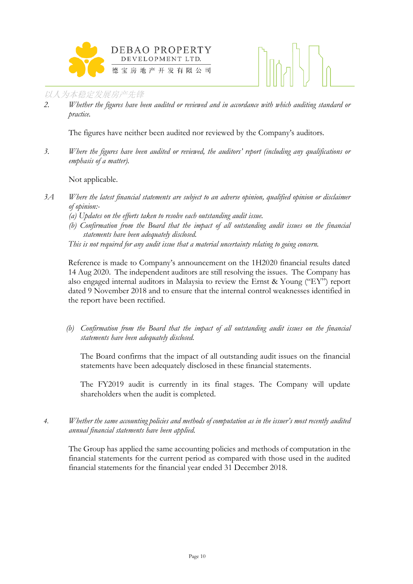



*2. Whether the figures have been audited or reviewed and in accordance with which auditing standard or practice.*

The figures have neither been audited nor reviewed by the Company's auditors.

*3. Where the figures have been audited or reviewed, the auditors' report (including any qualifications or emphasis of a matter).*

Not applicable.

- *3A Where the latest financial statements are subject to an adverse opinion, qualified opinion or disclaimer of opinion:-*
	- *(a) Updates on the efforts taken to resolve each outstanding audit issue.*
	- *(b) Confirmation from the Board that the impact of all outstanding audit issues on the financial statements have been adequately disclosed.*

*This is not required for any audit issue that a material uncertainty relating to going concern.* 

Reference is made to Company's announcement on the 1H2020 financial results dated 14 Aug 2020. The independent auditors are still resolving the issues. The Company has also engaged internal auditors in Malaysia to review the Ernst & Young ("EY") report dated 9 November 2018 and to ensure that the internal control weaknesses identified in the report have been rectified.

*(b) Confirmation from the Board that the impact of all outstanding audit issues on the financial statements have been adequately disclosed.* 

The Board confirms that the impact of all outstanding audit issues on the financial statements have been adequately disclosed in these financial statements.

The FY2019 audit is currently in its final stages. The Company will update shareholders when the audit is completed.

*4. Whether the same accounting policies and methods of computation as in the issuer's most recently audited annual financial statements have been applied.*

The Group has applied the same accounting policies and methods of computation in the financial statements for the current period as compared with those used in the audited financial statements for the financial year ended 31 December 2018.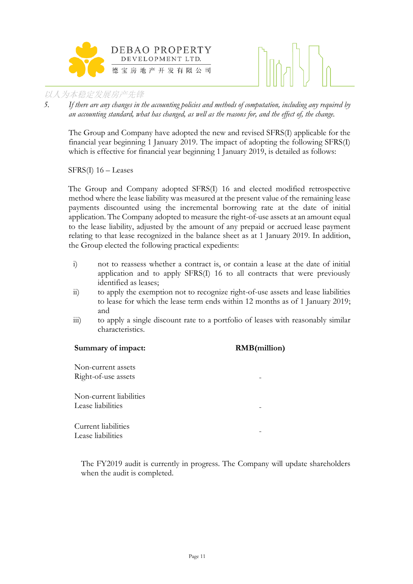



*5. If there are any changes in the accounting policies and methods of computation, including any required by an accounting standard, what has changed, as well as the reasons for, and the effect of, the change.*

The Group and Company have adopted the new and revised SFRS(I) applicable for the financial year beginning 1 January 2019. The impact of adopting the following SFRS(I) which is effective for financial year beginning 1 January 2019, is detailed as follows:

SFRS(I) 16 – Leases

The Group and Company adopted SFRS(I) 16 and elected modified retrospective method where the lease liability was measured at the present value of the remaining lease payments discounted using the incremental borrowing rate at the date of initial application. The Company adopted to measure the right-of-use assets at an amount equal to the lease liability, adjusted by the amount of any prepaid or accrued lease payment relating to that lease recognized in the balance sheet as at 1 January 2019. In addition, the Group elected the following practical expedients:

- i) not to reassess whether a contract is, or contain a lease at the date of initial application and to apply SFRS(I) 16 to all contracts that were previously identified as leases;
- ii) to apply the exemption not to recognize right-of-use assets and lease liabilities to lease for which the lease term ends within 12 months as of 1 January 2019; and
- iii) to apply a single discount rate to a portfolio of leases with reasonably similar characteristics.

| Summary of impact:      | <b>RMB</b> (million) |
|-------------------------|----------------------|
| Non-current assets      |                      |
| Right-of-use assets     |                      |
| Non-current liabilities |                      |
| Lease liabilities       |                      |
| Current liabilities     |                      |
| Lease liabilities       |                      |

The FY2019 audit is currently in progress. The Company will update shareholders when the audit is completed.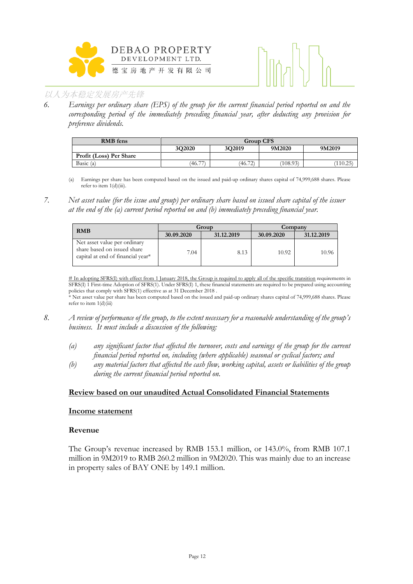



*6. Earnings per ordinary share (EPS) of the group for the current financial period reported on and the corresponding period of the immediately preceding financial year, after deducting any provision for preference dividends.*

| <b>RMB</b> fens         |        | <b>Group CFS</b> |          |          |  |  |  |
|-------------------------|--------|------------------|----------|----------|--|--|--|
|                         | 3O2020 | 3O2019           | 9M2020   | 9M2019   |  |  |  |
| Profit (Loss) Per Share |        |                  |          |          |  |  |  |
| Basic (a)               | (46.77 | (46.72)          | (108.93) | (110.25) |  |  |  |

- (a) Earnings per share has been computed based on the issued and paid-up ordinary shares capital of 74,999,688 shares. Please refer to item 1(d)(iii).
- *7. Net asset value (for the issue and group) per ordinary share based on issued share capital of the issuer at the end of the (a) current period reported on and (b) immediately preceding financial year.*

| <b>RMB</b>                                                                                       |            | Group      | Company    |            |  |
|--------------------------------------------------------------------------------------------------|------------|------------|------------|------------|--|
|                                                                                                  | 30.09.2020 | 31.12.2019 | 30.09.2020 | 31.12.2019 |  |
| Net asset value per ordinary<br>share based on issued share<br>capital at end of financial year* | 7.04       | 8.13       | 10.92      | 10.96      |  |

# In adopting SFRS(I) with effect from 1 January 2018, the Group is required to apply all of the specific transition requirements in SFRS(I) 1 First-time Adoption of SFRS(1). Under SFRS(I) 1, these financial statements are required to be prepared using accounting policies that comply with SFRS(1) effective as at 31 December 2018 .

\* Net asset value per share has been computed based on the issued and paid-up ordinary shares capital of 74,999,688 shares. Please refer to item 1(d)(iii)

- *8. A review of performance of the group, to the extent necessary for a reasonable understanding of the group's business. It must include a discussion of the following:*
	- *(a) any significant factor that affected the turnover, costs and earnings of the group for the current financial period reported on, including (where applicable) seasonal or cyclical factors; and*
	- *(b) any material factors that affected the cash flow, working capital, assets or liabilities of the group during the current financial period reported on.*

#### **Review based on our unaudited Actual Consolidated Financial Statements**

#### **Income statement**

#### **Revenue**

The Group's revenue increased by RMB 153.1 million, or 143.0%, from RMB 107.1 million in 9M2019 to RMB 260.2 million in 9M2020. This was mainly due to an increase in property sales of BAY ONE by 149.1 million.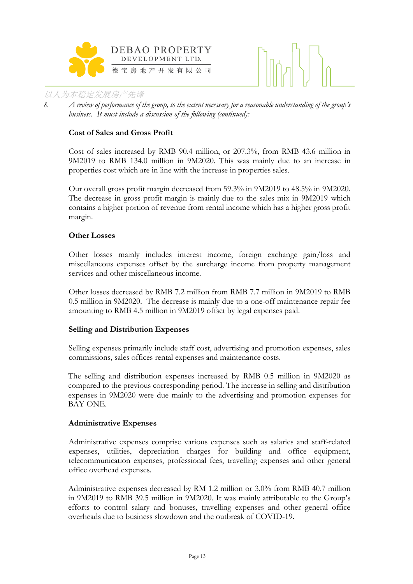



*8. A review of performance of the group, to the extent necessary for a reasonable understanding of the group's business. It must include a discussion of the following (continued):*

#### **Cost of Sales and Gross Profit**

Cost of sales increased by RMB 90.4 million, or 207.3%, from RMB 43.6 million in 9M2019 to RMB 134.0 million in 9M2020. This was mainly due to an increase in properties cost which are in line with the increase in properties sales.

Our overall gross profit margin decreased from 59.3% in 9M2019 to 48.5% in 9M2020. The decrease in gross profit margin is mainly due to the sales mix in 9M2019 which contains a higher portion of revenue from rental income which has a higher gross profit margin.

#### **Other Losses**

Other losses mainly includes interest income, foreign exchange gain/loss and miscellaneous expenses offset by the surcharge income from property management services and other miscellaneous income.

Other losses decreased by RMB 7.2 million from RMB 7.7 million in 9M2019 to RMB 0.5 million in 9M2020. The decrease is mainly due to a one-off maintenance repair fee amounting to RMB 4.5 million in 9M2019 offset by legal expenses paid.

#### **Selling and Distribution Expenses**

Selling expenses primarily include staff cost, advertising and promotion expenses, sales commissions, sales offices rental expenses and maintenance costs.

The selling and distribution expenses increased by RMB 0.5 million in 9M2020 as compared to the previous corresponding period. The increase in selling and distribution expenses in 9M2020 were due mainly to the advertising and promotion expenses for BAY ONE.

#### **Administrative Expenses**

Administrative expenses comprise various expenses such as salaries and staff-related expenses, utilities, depreciation charges for building and office equipment, telecommunication expenses, professional fees, travelling expenses and other general office overhead expenses.

Administrative expenses decreased by RM 1.2 million or 3.0% from RMB 40.7 million in 9M2019 to RMB 39.5 million in 9M2020. It was mainly attributable to the Group's efforts to control salary and bonuses, travelling expenses and other general office overheads due to business slowdown and the outbreak of COVID-19.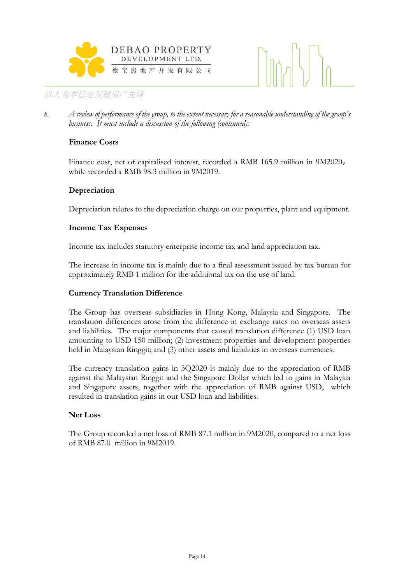



*8. A review of performance of the group, to the extent necessary for a reasonable understanding of the group's business. It must include a discussion of the following (continued):*

#### **Finance Costs**

Finance cost, net of capitalised interest, recorded a RMB 165.9 million in 9M2020, while recorded a RMB 98.3 million in 9M2019.

### **Depreciation**

Depreciation relates to the depreciation charge on our properties, plant and equipment.

#### **Income Tax Expenses**

Income tax includes statutory enterprise income tax and land appreciation tax.

The increase in income tax is mainly due to a final assessment issued by tax bureau for approximately RMB 1 million for the additional tax on the use of land.

#### **Currency Translation Difference**

The Group has overseas subsidiaries in Hong Kong, Malaysia and Singapore. The translation differences arose from the difference in exchange rates on overseas assets and liabilities. The major components that caused translation difference (1) USD loan amounting to USD 150 million; (2) investment properties and development properties held in Malaysian Ringgit; and (3) other assets and liabilities in overseas currencies.

The currency translation gains in 3Q2020 is mainly due to the appreciation of RMB against the Malaysian Ringgit and the Singapore Dollar which led to gains in Malaysia and Singapore assets, together with the appreciation of RMB against USD, which resulted in translation gains in our USD loan and liabilities.

#### **Net Loss**

The Group recorded a net loss of RMB 87.1 million in 9M2020, compared to a net loss of RMB 87.0 million in 9M2019.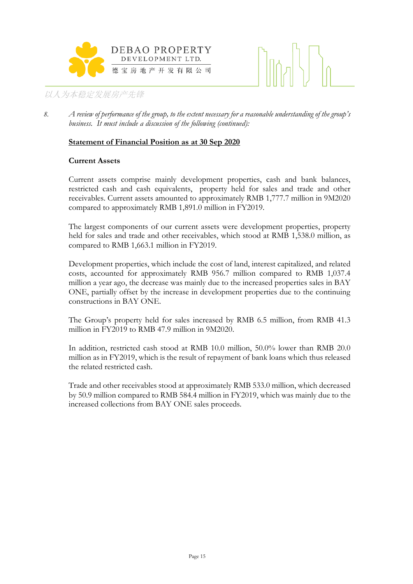



*8. A review of performance of the group, to the extent necessary for a reasonable understanding of the group's business. It must include a discussion of the following (continued):*

#### **Statement of Financial Position as at 30 Sep 2020**

#### **Current Assets**

Current assets comprise mainly development properties, cash and bank balances, restricted cash and cash equivalents, property held for sales and trade and other receivables. Current assets amounted to approximately RMB 1,777.7 million in 9M2020 compared to approximately RMB 1,891.0 million in FY2019.

The largest components of our current assets were development properties, property held for sales and trade and other receivables, which stood at RMB 1,538.0 million, as compared to RMB 1,663.1 million in FY2019.

Development properties, which include the cost of land, interest capitalized, and related costs, accounted for approximately RMB 956.7 million compared to RMB 1,037.4 million a year ago, the decrease was mainly due to the increased properties sales in BAY ONE, partially offset by the increase in development properties due to the continuing constructions in BAY ONE.

The Group's property held for sales increased by RMB 6.5 million, from RMB 41.3 million in FY2019 to RMB 47.9 million in 9M2020.

In addition, restricted cash stood at RMB 10.0 million, 50.0% lower than RMB 20.0 million as in FY2019, which is the result of repayment of bank loans which thus released the related restricted cash.

Trade and other receivables stood at approximately RMB 533.0 million, which decreased by 50.9 million compared to RMB 584.4 million in FY2019, which was mainly due to the increased collections from BAY ONE sales proceeds.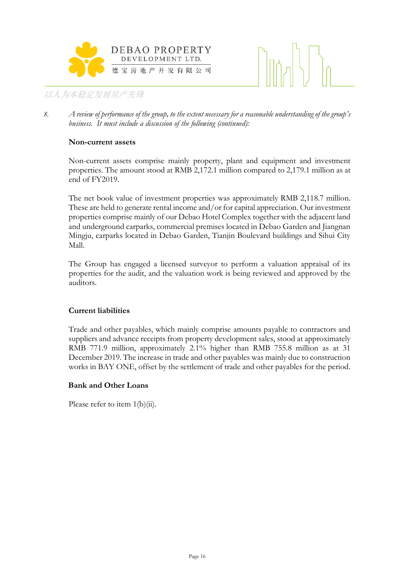



*8. A review of performance of the group, to the extent necessary for a reasonable understanding of the group's business. It must include a discussion of the following (continued):*

#### **Non-current assets**

Non-current assets comprise mainly property, plant and equipment and investment properties. The amount stood at RMB 2,172.1 million compared to 2,179.1 million as at end of FY2019.

The net book value of investment properties was approximately RMB 2,118.7 million. These are held to generate rental income and/or for capital appreciation. Our investment properties comprise mainly of our Debao Hotel Complex together with the adjacent land and underground carparks, commercial premises located in Debao Garden and Jiangnan Mingju, carparks located in Debao Garden, Tianjin Boulevard buildings and Sihui City Mall.

The Group has engaged a licensed surveyor to perform a valuation appraisal of its properties for the audit, and the valuation work is being reviewed and approved by the auditors.

#### **Current liabilities**

Trade and other payables, which mainly comprise amounts payable to contractors and suppliers and advance receipts from property development sales, stood at approximately RMB 771.9 million, approximately 2.1% higher than RMB 755.8 million as at 31 December 2019. The increase in trade and other payables was mainly due to construction works in BAY ONE, offset by the settlement of trade and other payables for the period.

#### **Bank and Other Loans**

Please refer to item 1(b)(ii).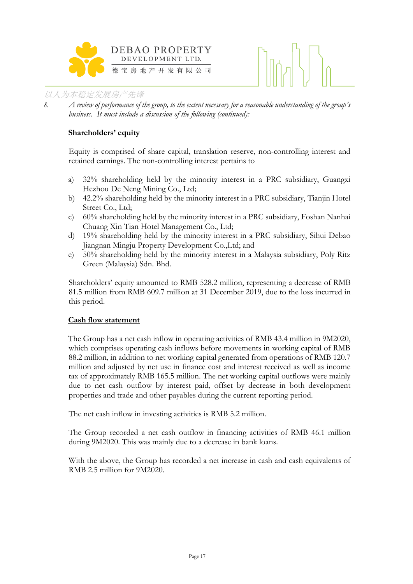

*8. A review of performance of the group, to the extent necessary for a reasonable understanding of the group's business. It must include a discussion of the following (continued):*

### **Shareholders' equity**

Equity is comprised of share capital, translation reserve, non-controlling interest and retained earnings. The non-controlling interest pertains to

- a) 32% shareholding held by the minority interest in a PRC subsidiary, Guangxi Hezhou De Neng Mining Co., Ltd;
- b) 42.2% shareholding held by the minority interest in a PRC subsidiary, Tianjin Hotel Street Co., Ltd;
- c) 60% shareholding held by the minority interest in a PRC subsidiary, Foshan Nanhai Chuang Xin Tian Hotel Management Co., Ltd;
- d) 19% shareholding held by the minority interest in a PRC subsidiary, Sihui Debao Jiangnan Mingju Property Development Co.,Ltd; and
- e) 50% shareholding held by the minority interest in a Malaysia subsidiary, Poly Ritz Green (Malaysia) Sdn. Bhd.

Shareholders' equity amounted to RMB 528.2 million, representing a decrease of RMB 81.5 million from RMB 609.7 million at 31 December 2019, due to the loss incurred in this period.

#### **Cash flow statement**

The Group has a net cash inflow in operating activities of RMB 43.4 million in 9M2020, which comprises operating cash inflows before movements in working capital of RMB 88.2 million, in addition to net working capital generated from operations of RMB 120.7 million and adjusted by net use in finance cost and interest received as well as income tax of approximately RMB 165.5 million. The net working capital outflows were mainly due to net cash outflow by interest paid, offset by decrease in both development properties and trade and other payables during the current reporting period.

The net cash inflow in investing activities is RMB 5.2 million.

The Group recorded a net cash outflow in financing activities of RMB 46.1 million during 9M2020. This was mainly due to a decrease in bank loans.

With the above, the Group has recorded a net increase in cash and cash equivalents of RMB 2.5 million for 9M2020.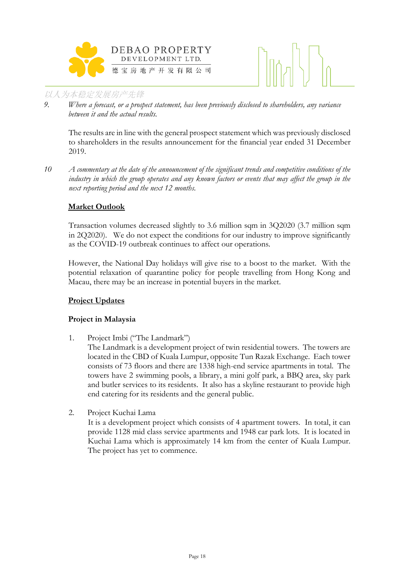



*9. Where a forecast, or a prospect statement, has been previously disclosed to shareholders, any variance between it and the actual results.*

The results are in line with the general prospect statement which was previously disclosed to shareholders in the results announcement for the financial year ended 31 December 2019.

*10 A commentary at the date of the announcement of the significant trends and competitive conditions of the industry in which the group operates and any known factors or events that may affect the group in the next reporting period and the next 12 months.*

### **Market Outlook**

Transaction volumes decreased slightly to 3.6 million sqm in 3Q2020 (3.7 million sqm in 2Q2020). We do not expect the conditions for our industry to improve significantly as the COVID-19 outbreak continues to affect our operations.

However, the National Day holidays will give rise to a boost to the market. With the potential relaxation of quarantine policy for people travelling from Hong Kong and Macau, there may be an increase in potential buyers in the market.

#### **Project Updates**

#### **Project in Malaysia**

1. Project Imbi ("The Landmark")

The Landmark is a development project of twin residential towers. The towers are located in the CBD of Kuala Lumpur, opposite Tun Razak Exchange. Each tower consists of 73 floors and there are 1338 high-end service apartments in total. The towers have 2 swimming pools, a library, a mini golf park, a BBQ area, sky park and butler services to its residents. It also has a skyline restaurant to provide high end catering for its residents and the general public.

2. Project Kuchai Lama

It is a development project which consists of 4 apartment towers. In total, it can provide 1128 mid class service apartments and 1948 car park lots. It is located in Kuchai Lama which is approximately 14 km from the center of Kuala Lumpur. The project has yet to commence.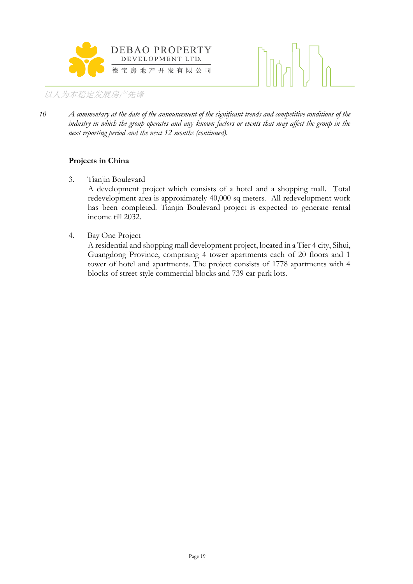



*10 A commentary at the date of the announcement of the significant trends and competitive conditions of the industry in which the group operates and any known factors or events that may affect the group in the next reporting period and the next 12 months (continued).*

### **Projects in China**

- 3. Tianjin Boulevard A development project which consists of a hotel and a shopping mall. Total redevelopment area is approximately 40,000 sq meters. All redevelopment work has been completed. Tianjin Boulevard project is expected to generate rental income till 2032.
- 4. Bay One Project

A residential and shopping mall development project, located in a Tier 4 city, Sihui, Guangdong Province, comprising 4 tower apartments each of 20 floors and 1 tower of hotel and apartments. The project consists of 1778 apartments with 4 blocks of street style commercial blocks and 739 car park lots.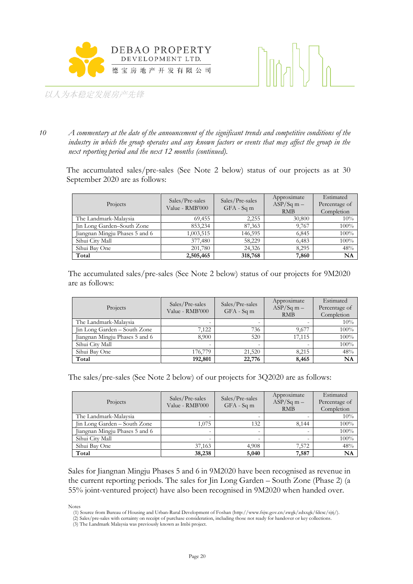



*10 A commentary at the date of the announcement of the significant trends and competitive conditions of the industry in which the group operates and any known factors or events that may affect the group in the next reporting period and the next 12 months (continued).*

The accumulated sales/pre-sales (See Note 2 below) status of our projects as at 30 September 2020 are as follows:

| Projects                       | Sales/Pre-sales<br>Value - RMB'000 | Sales/Pre-sales<br>$GFA - Sqm$ | Approximate<br>$ASP/Sq m -$<br><b>RMB</b> | Estimated<br>Percentage of<br>Completion |
|--------------------------------|------------------------------------|--------------------------------|-------------------------------------------|------------------------------------------|
| The Landmark-Malaysia          | 69,455                             | 2,255                          | 30,800                                    | 10%                                      |
| Jin Long Garden–South Zone     | 853,234                            | 87,363                         | 9,767                                     | 100%                                     |
| Jiangnan Mingju Phases 5 and 6 | 1,003,515                          | 146,595                        | 6,845                                     | 100%                                     |
| Sihui City Mall                | 377,480                            | 58.229                         | 6,483                                     | 100%                                     |
| Sihui Bay One                  | 201,780                            | 24.326                         | 8.295                                     | 48%                                      |
| Total                          | 2,505,465                          | 318,768                        | 7,860                                     | NA                                       |

The accumulated sales/pre-sales (See Note 2 below) status of our projects for 9M2020 are as follows:

| Projects                       | Sales/Pre-sales<br>Value - RMB'000 | Sales/Pre-sales<br>$GFA - Sqm$ | Approximate<br>$ASP/Sq$ m $-$<br><b>RMB</b> | Estimated<br>Percentage of<br>Completion |
|--------------------------------|------------------------------------|--------------------------------|---------------------------------------------|------------------------------------------|
| The Landmark-Malaysia          |                                    |                                |                                             | 10%                                      |
| Jin Long Garden - South Zone   | 7,122                              | 736                            | 9,677                                       | 100%                                     |
| Jiangnan Mingju Phases 5 and 6 | 8.900                              | 520                            | 17.115                                      | 100%                                     |
| Sihui City Mall                |                                    |                                |                                             | 100%                                     |
| Sihui Bay One                  | 176,779                            | 21,520                         | 8,215                                       | 48%                                      |
| Total                          | 192,801                            | 22,776                         | 8,465                                       | <b>NA</b>                                |

The sales/pre-sales (See Note 2 below) of our projects for 3Q2020 are as follows:

| Projects                       | Sales/Pre-sales<br>Value - RMB'000 | Sales/Pre-sales<br>$GFA - Sqm$ | Approximate<br>$ASP/Sq$ m $-$<br><b>RMB</b> | Estimated<br>Percentage of<br>Completion |
|--------------------------------|------------------------------------|--------------------------------|---------------------------------------------|------------------------------------------|
| The Landmark-Malaysia          |                                    |                                |                                             | 10%                                      |
| Jin Long Garden - South Zone   | 1.075                              | 132                            | 8.144                                       | 100%                                     |
| Jiangnan Mingju Phases 5 and 6 | -                                  |                                |                                             | 100%                                     |
| Sihui City Mall                |                                    |                                |                                             | 100%                                     |
| Sihui Bay One                  | 37,163                             | 4,908                          | 7,572                                       | 48%                                      |
| Total                          | 38,238                             | 5,040                          | 7,587                                       | <b>NA</b>                                |

Sales for Jiangnan Mingju Phases 5 and 6 in 9M2020 have been recognised as revenue in the current reporting periods. The sales for Jin Long Garden – South Zone (Phase 2) (a 55% joint-ventured project) have also been recognised in 9M2020 when handed over.

Notes

<sup>(1)</sup> Source from Bureau of Housing and Urban-Rural Development of Foshan (http://www.fsjw.gov.cn/zwgk/zdxxgk/fdcsc/sjtj/).

<sup>(2)</sup> Sales/pre-sales with certainty on receipt of purchase consideration, including those not ready for handover or key collections.

<sup>(3)</sup> The Landmark Malaysia was previously known as Imbi project.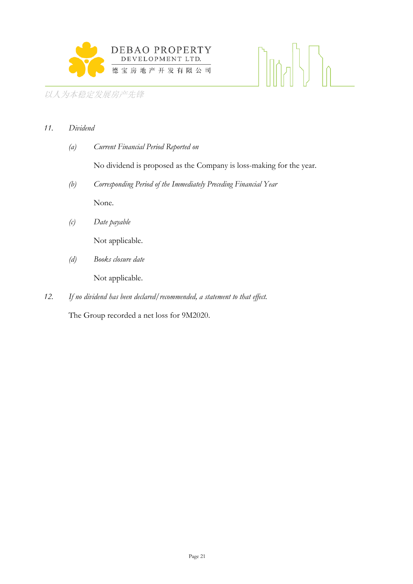

# $\lim_{n} \left|\frac{1}{n}\right|$

# 以人为本稳定发展房产先锋

# *11. Dividend*

*(a) Current Financial Period Reported on*

No dividend is proposed as the Company is loss-making for the year.

*(b) Corresponding Period of the Immediately Preceding Financial Year*

None.

*(c) Date payable*

Not applicable.

*(d) Books closure date*

Not applicable.

*12. If no dividend has been declared/recommended, a statement to that effect.*

The Group recorded a net loss for 9M2020.